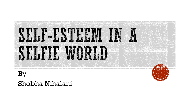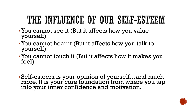# THE INFLUENCE OF OUR SELF-ESTEEM

- ▪You cannot see it (But it affects how you value yourself)
- ▪You cannot hear it (But it affects how you talk to yourself)
- ▪You cannot touch it (But it affects how it makes you feel)

▪Self-esteem is your opinion of yourself…and much more. It is your core foundation from where you tap into your inner confidence and motivation.

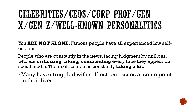# CELEBRITIES/CEOS/CORP PROF/GEN X/GEN Z/WELL-KNOWN PERSONALITIES

You **ARE NOT ALONE.** Famous people have all experienced low selfesteem.

People who are constantly in the news, facing judgment by millions, who are **criticizing, liking, commenting** every time they appear on social media. Their self-esteem is constantly **taking a hit**.

▪Many have struggled with self-esteem issues at some point in their lives

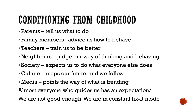# CONDITIONING FROM CHILDHOOD

- ▪Parents tell us what to do
- ▪Family members –advice us how to behave
- ▪Teachers train us to be better
- ▪Neighbours judge our way of thinking and behaving
- ▪Society expects us to do what everyone else does
- ▪Culture maps our future, and we follow
- ▪Media points the way of what is trending

Almost everyone who guides us has an expectation/

We are not good enough. We are in constant fix-it mode

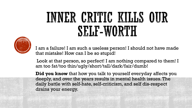# INNER CRITIC KILLS OUR SELL-WORTH



I am a failure! I am such a useless person! I should not have made that mistake! How can I be so stupid!

Look at that person, so perfect! I am nothing compared to them! I am too fat/too thin/ugly/short/tall/dark/fair/dumb!

**Did you know** that how you talk to yourself everyday affects you deeply, and over the years results in mental health issues. The daily battle with self-hate, self-criticism, and self dis-respect drains your energy.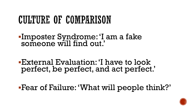### CULTURE OF COMPARISON

- ▪Imposter Syndrome: 'I am a fake someone will find out.'
- ▪External Evaluation: 'I have to look perfect, be perfect, and act perfect.'
- ▪Fear of Failure: 'What will people think?'

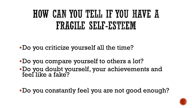# HOW CAN YOU TELL IF YOU HAVE A FRAGILE SELF-ESTEEM

▪Do you criticize yourself all the time?

- ▪Do you compare yourself to others a lot?
- ▪Do you doubt yourself, your achievements and feel like a fake?

▪Do you constantly feel you are not good enough?

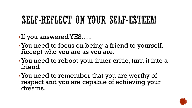### SELF-REILECT ON YOUR SELF-ESTEEM

- **-If you answered YES.....**
- ▪You need to focus on being a friend to yourself. Accept who you are as you are.
- ▪You need to reboot your inner critic, turn it into a friend
- ▪You need to remember that you are worthy of respect and you are capable of achieving your dreams.